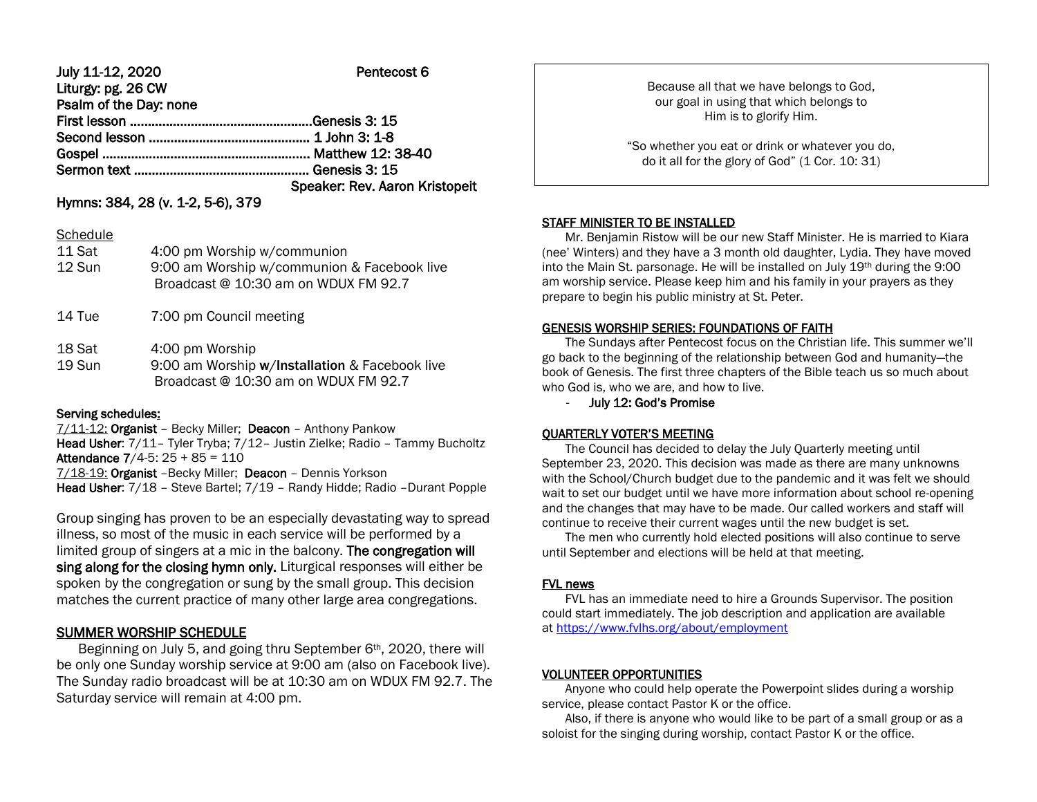| July 11-12, 2020       | Pentecost 6                    |
|------------------------|--------------------------------|
| Liturgy: pg. 26 CW     |                                |
| Psalm of the Day: none |                                |
|                        |                                |
|                        |                                |
|                        |                                |
|                        |                                |
|                        | Speaker: Rev. Aaron Kristopeit |

## Hymns: 384, 28 (v. 1-2, 5-6), 379

### **Schedule**

| 11 Sat<br>12 Sun | 4:00 pm Worship w/communion<br>9:00 am Worship w/communion & Facebook live<br>Broadcast @ 10:30 am on WDUX FM 92.7 |
|------------------|--------------------------------------------------------------------------------------------------------------------|
| 14 Tue           | 7:00 pm Council meeting                                                                                            |
| 18 Sat           | 4:00 pm Worship                                                                                                    |

19 Sun 9:00 am Worship w/Installation & Facebook live Broadcast @ 10:30 am on WDUX FM 92.7

### Serving schedules:

7/11-12: Organist - Becky Miller; Deacon - Anthony Pankow

Head Usher: 7/11– Tyler Tryba; 7/12– Justin Zielke; Radio – Tammy Bucholtz Attendance 7/4-5: 25 + 85 = 110

7/18-19: Organist –Becky Miller; Deacon – Dennis Yorkson Head Usher: 7/18 – Steve Bartel; 7/19 – Randy Hidde; Radio –Durant Popple

Group singing has proven to be an especially devastating way to spread illness, so most of the music in each service will be performed by a limited group of singers at a mic in the balcony. The congregation will sing along for the closing hymn only. Liturgical responses will either be spoken by the congregation or sung by the small group. This decision matches the current practice of many other large area congregations.

# SUMMER WORSHIP SCHEDULE

Beginning on July 5, and going thru September 6<sup>th</sup>, 2020, there will be only one Sunday worship service at 9:00 am (also on Facebook live). The Sunday radio broadcast will be at 10:30 am on WDUX FM 92.7. The Saturday service will remain at 4:00 pm.

Because all that we have belongs to God, our goal in using that which belongs to Him is to glorify Him.

"So whether you eat or drink or whatever you do, do it all for the glory of God" (1 Cor. 10: 31)

### STAFF MINISTER TO BE INSTALLED

 Mr. Benjamin Ristow will be our new Staff Minister. He is married to Kiara (nee' Winters) and they have a 3 month old daughter, Lydia. They have moved into the Main St. parsonage. He will be installed on July 19th during the 9:00 am worship service. Please keep him and his family in your prayers as they prepare to begin his public ministry at St. Peter.

## GENESIS WORSHIP SERIES: FOUNDATIONS OF FAITH

 The Sundays after Pentecost focus on the Christian life. This summer we'll go back to the beginning of the relationship between God and humanity—the book of Genesis. The first three chapters of the Bible teach us so much about who God is, who we are, and how to live.

- July 12: God's Promise

## QUARTERLY VOTER'S MEETING

 The Council has decided to delay the July Quarterly meeting until September 23, 2020. This decision was made as there are many unknowns with the School/Church budget due to the pandemic and it was felt we should wait to set our budget until we have more information about school re-opening and the changes that may have to be made. Our called workers and staff will continue to receive their current wages until the new budget is set.

 The men who currently hold elected positions will also continue to serve until September and elections will be held at that meeting.

## FVL news

 FVL has an immediate need to hire a Grounds Supervisor. The position could start immediately. The job description and application are available at [https://www.fvlhs.org/about/employment](https://linkprotect.cudasvc.com/url?a=https%3a%2f%2fwww.fvlhs.org%2fabout%2femployment&c=E,1,TBPhYeOKuK-sOhh7747WSQxEMZYfaZv1XC-6J2UZnLG0_OZavBiP1q86IWUUrELoEEVdnVdAfuruqE8uEhqW_t6H6UEkjtx6TCgOl6O16EfV1L-s-LSEQVw17G0,&typo=1)

## VOLUNTEER OPPORTUNITIES

 Anyone who could help operate the Powerpoint slides during a worship service, please contact Pastor K or the office.

 Also, if there is anyone who would like to be part of a small group or as a soloist for the singing during worship, contact Pastor K or the office.